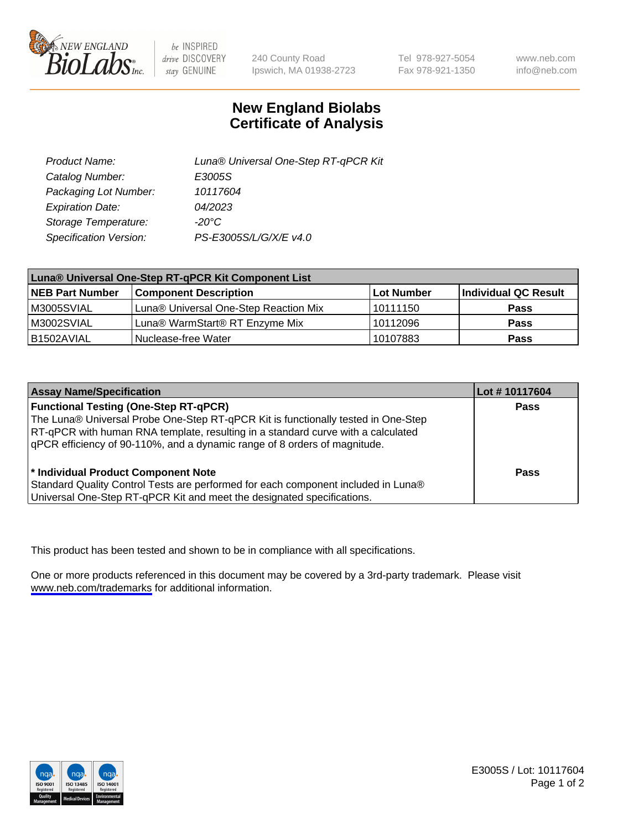

be INSPIRED drive DISCOVERY stay GENUINE

240 County Road Ipswich, MA 01938-2723 Tel 978-927-5054 Fax 978-921-1350

www.neb.com info@neb.com

## **New England Biolabs Certificate of Analysis**

| Product Name:           | Luna® Universal One-Step RT-qPCR Kit |
|-------------------------|--------------------------------------|
| Catalog Number:         | E3005S                               |
| Packaging Lot Number:   | 10117604                             |
| <b>Expiration Date:</b> | 04/2023                              |
| Storage Temperature:    | $-20^{\circ}$ C                      |
| Specification Version:  | PS-E3005S/L/G/X/E v4.0               |

| Luna® Universal One-Step RT-qPCR Kit Component List |                                       |            |                      |  |
|-----------------------------------------------------|---------------------------------------|------------|----------------------|--|
| <b>NEB Part Number</b>                              | <b>Component Description</b>          | Lot Number | Individual QC Result |  |
| M3005SVIAL                                          | Luna® Universal One-Step Reaction Mix | l 10111150 | Pass                 |  |
| M3002SVIAL                                          | Luna® WarmStart® RT Enzyme Mix        | 10112096   | <b>Pass</b>          |  |
| B1502AVIAL                                          | Nuclease-free Water                   | 10107883   | <b>Pass</b>          |  |

| <b>Assay Name/Specification</b>                                                                                                                                                                                                                                                                    | Lot #10117604 |
|----------------------------------------------------------------------------------------------------------------------------------------------------------------------------------------------------------------------------------------------------------------------------------------------------|---------------|
| <b>Functional Testing (One-Step RT-qPCR)</b><br>The Luna® Universal Probe One-Step RT-qPCR Kit is functionally tested in One-Step<br>RT-qPCR with human RNA template, resulting in a standard curve with a calculated<br>qPCR efficiency of 90-110%, and a dynamic range of 8 orders of magnitude. | <b>Pass</b>   |
| * Individual Product Component Note<br>Standard Quality Control Tests are performed for each component included in Luna®<br>Universal One-Step RT-qPCR Kit and meet the designated specifications.                                                                                                 | Pass          |

This product has been tested and shown to be in compliance with all specifications.

One or more products referenced in this document may be covered by a 3rd-party trademark. Please visit <www.neb.com/trademarks>for additional information.